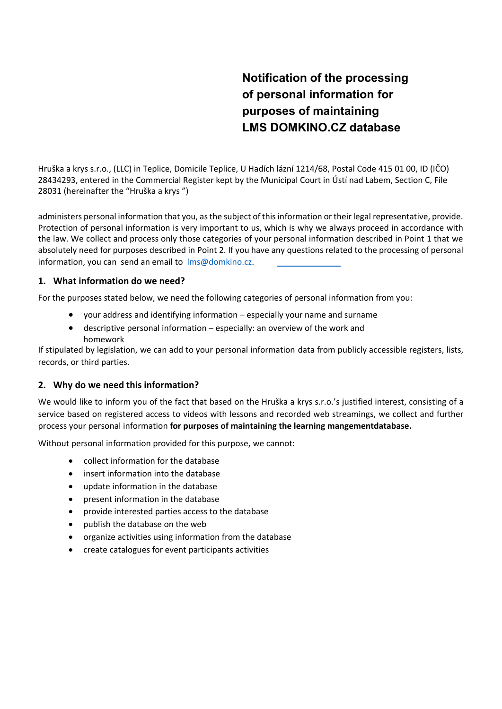# **Notification of the processing of personal information for purposes of maintaining LMS DOMKINO.CZ database**

Hruška a krys s.r.o., (LLC) in Teplice, Domicile Teplice, U Hadích lázní 1214/68, Postal Code 415 01 00, ID (IČO) 28434293, entered in the Commercial Register kept by the Municipal Court in Ústí nad Labem, Section C, File 28031 (hereinafter the "Hruška a krys ")

administers personal information that you, as the subject of this information or their legal representative, provide. Protection of personal information is very important to us, which is why we always proceed in accordance with the law. We collect and process only those categories of your personal information described in Point 1 that we absolutely need for purposes described in Point 2. If you have any questions related to the processing of personal information, you can send an email to lms@domkino.cz.

# **1. What information do we need?**

For the purposes stated below, we need the following categories of personal information from you:

- your address and identifying information especially your name and surname
- descriptive personal information especially: an overview of the work and homework

If stipulated by legislation, we can add to your personal information data from publicly accessible registers, lists, records, or third parties.

## **2. Why do we need this information?**

We would like to inform you of the fact that based on the Hruška a krys s.r.o.'s justified interest, consisting of a service based on registered access to videos with lessons and recorded web streamings, we collect and further process your personal information **for purposes of maintaining the learning mangementdatabase.**

Without personal information provided for this purpose, we cannot:

- collect information for the database
- insert information into the database
- update information in the database
- present information in the database
- provide interested parties access to the database
- publish the database on the web
- organize activities using information from the database
- create catalogues for event participants activities